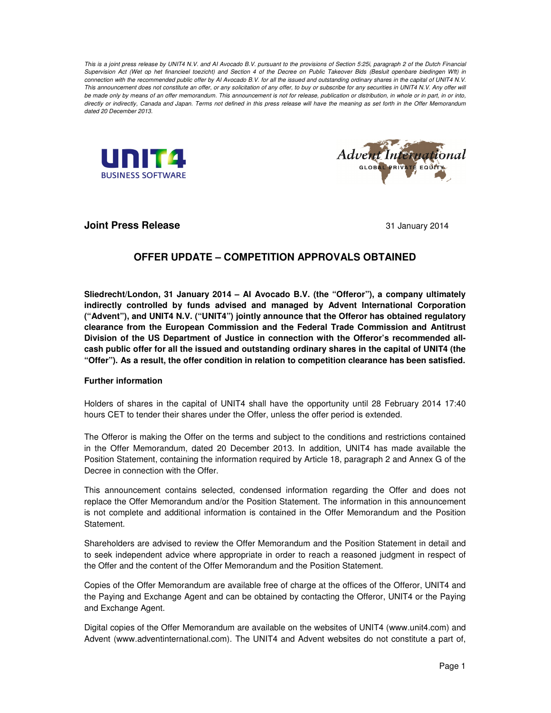*This is a joint press release by UNIT4 N.V. and AI Avocado B.V. pursuant to the provisions of Section 5:25i, paragraph 2 of the Dutch Financial Supervision Act (Wet op het financieel toezicht) and Section 4 of the Decree on Public Takeover Bids (Besluit openbare biedingen Wft) in connection with the recommended public offer by AI Avocado B.V. for all the issued and outstanding ordinary shares in the capital of UNIT4 N.V.*  This announcement does not constitute an offer, or any solicitation of any offer, to buy or subscribe for any securities in UNIT4 N.V. Any offer will *be made only by means of an offer memorandum. This announcement is not for release, publication or distribution, in whole or in part, in or into, directly or indirectly, Canada and Japan. Terms not defined in this press release will have the meaning as set forth in the Offer Memorandum dated 20 December 2013.* 





**Joint Press Release** 31 January 2014

# **OFFER UPDATE – COMPETITION APPROVALS OBTAINED**

**Sliedrecht/London, 31 January 2014 – AI Avocado B.V. (the "Offeror"), a company ultimately indirectly controlled by funds advised and managed by Advent International Corporation ("Advent"), and UNIT4 N.V. ("UNIT4") jointly announce that the Offeror has obtained regulatory clearance from the European Commission and the Federal Trade Commission and Antitrust Division of the US Department of Justice in connection with the Offeror's recommended allcash public offer for all the issued and outstanding ordinary shares in the capital of UNIT4 (the "Offer"). As a result, the offer condition in relation to competition clearance has been satisfied.** 

## **Further information**

Holders of shares in the capital of UNIT4 shall have the opportunity until 28 February 2014 17:40 hours CET to tender their shares under the Offer, unless the offer period is extended.

The Offeror is making the Offer on the terms and subject to the conditions and restrictions contained in the Offer Memorandum, dated 20 December 2013. In addition, UNIT4 has made available the Position Statement, containing the information required by Article 18, paragraph 2 and Annex G of the Decree in connection with the Offer.

This announcement contains selected, condensed information regarding the Offer and does not replace the Offer Memorandum and/or the Position Statement. The information in this announcement is not complete and additional information is contained in the Offer Memorandum and the Position Statement.

Shareholders are advised to review the Offer Memorandum and the Position Statement in detail and to seek independent advice where appropriate in order to reach a reasoned judgment in respect of the Offer and the content of the Offer Memorandum and the Position Statement.

Copies of the Offer Memorandum are available free of charge at the offices of the Offeror, UNIT4 and the Paying and Exchange Agent and can be obtained by contacting the Offeror, UNIT4 or the Paying and Exchange Agent.

Digital copies of the Offer Memorandum are available on the websites of UNIT4 (www.unit4.com) and Advent (www.adventinternational.com). The UNIT4 and Advent websites do not constitute a part of,